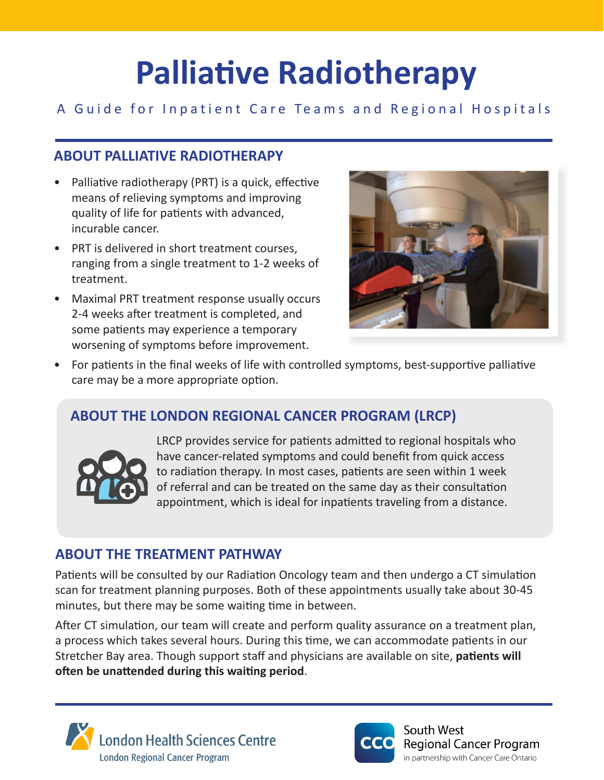# **Palliative Radiotherapy**

# A Guide for Inpatient Care Teams and Regional Hospitals

# **ABOUT PALLIATIVE RADIOTHERAPY**

- Palliative radiotherapy (PRT) is a quick, effective means of relieving symptoms and improving quality of life for patients with advanced, incurable cancer.
- PRT is delivered in short treatment courses, ranging from a single treatment to 1-2 weeks of treatment.
- Maximal PRT treatment response usually occurs 2-4 weeks after treatment is completed, and some patients may experience a temporary worsening of symptoms before improvement.



• For patients in the final weeks of life with controlled symptoms, best-supportive palliative care may be a more appropriate option.

# **ABOUT THE LONDON REGIONAL CANCER PROGRAM (LRCP)**



LRCP provides service for patients admitted to regional hospitals who have cancer-related symptoms and could benefit from quick access to radiation therapy. In most cases, patients are seen within 1 week of referral and can be treated on the same day as their consultation appointment, which is ideal for inpatients traveling from a distance.

## **ABOUT THE TREATMENT PATHWAY**

Patients will be consulted by our Radiation Oncology team and then undergo a CT simulation scan for treatment planning purposes. Both of these appointments usually take about 30-45 minutes, but there may be some waiting time in between.

After CT simulation, our team will create and perform quality assurance on a treatment plan, a process which takes several hours. During this time, we can accommodate patients in our Stretcher Bay area. Though support staff and physicians are available on site, **patients will often be unattended during this waiting period**.





South West **Regional Cancer Program** in partnership with Cancer Care Ontario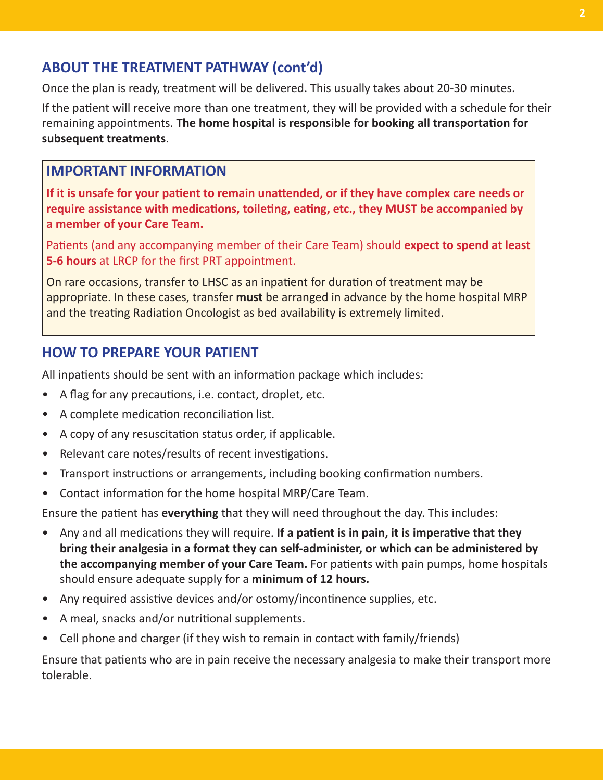## **ABOUT THE TREATMENT PATHWAY (cont'd)**

Once the plan is ready, treatment will be delivered. This usually takes about 20-30 minutes.

If the patient will receive more than one treatment, they will be provided with a schedule for their remaining appointments. **The home hospital is responsible for booking all transportation for subsequent treatments**.

#### **IMPORTANT INFORMATION**

**If it is unsafe for your patient to remain unattended, or if they have complex care needs or require assistance with medications, toileting, eating, etc., they MUST be accompanied by a member of your Care Team.**

Patients (and any accompanying member of their Care Team) should **expect to spend at least 5-6 hours** at LRCP for the first PRT appointment.

On rare occasions, transfer to LHSC as an inpatient for duration of treatment may be appropriate. In these cases, transfer **must** be arranged in advance by the home hospital MRP and the treating Radiation Oncologist as bed availability is extremely limited.

## **HOW TO PREPARE YOUR PATIENT**

All inpatients should be sent with an information package which includes:

- A flag for any precautions, i.e. contact, droplet, etc.
- A complete medication reconciliation list.
- A copy of any resuscitation status order, if applicable.
- Relevant care notes/results of recent investigations.
- Transport instructions or arrangements, including booking confirmation numbers.
- Contact information for the home hospital MRP/Care Team.

Ensure the patient has **everything** that they will need throughout the day. This includes:

- Any and all medications they will require. **If a patient is in pain, it is imperative that they bring their analgesia in a format they can self-administer, or which can be administered by the accompanying member of your Care Team.** For patients with pain pumps, home hospitals should ensure adequate supply for a **minimum of 12 hours.**
- Any required assistive devices and/or ostomy/incontinence supplies, etc.
- A meal, snacks and/or nutritional supplements.
- Cell phone and charger (if they wish to remain in contact with family/friends)

Ensure that patients who are in pain receive the necessary analgesia to make their transport more tolerable.